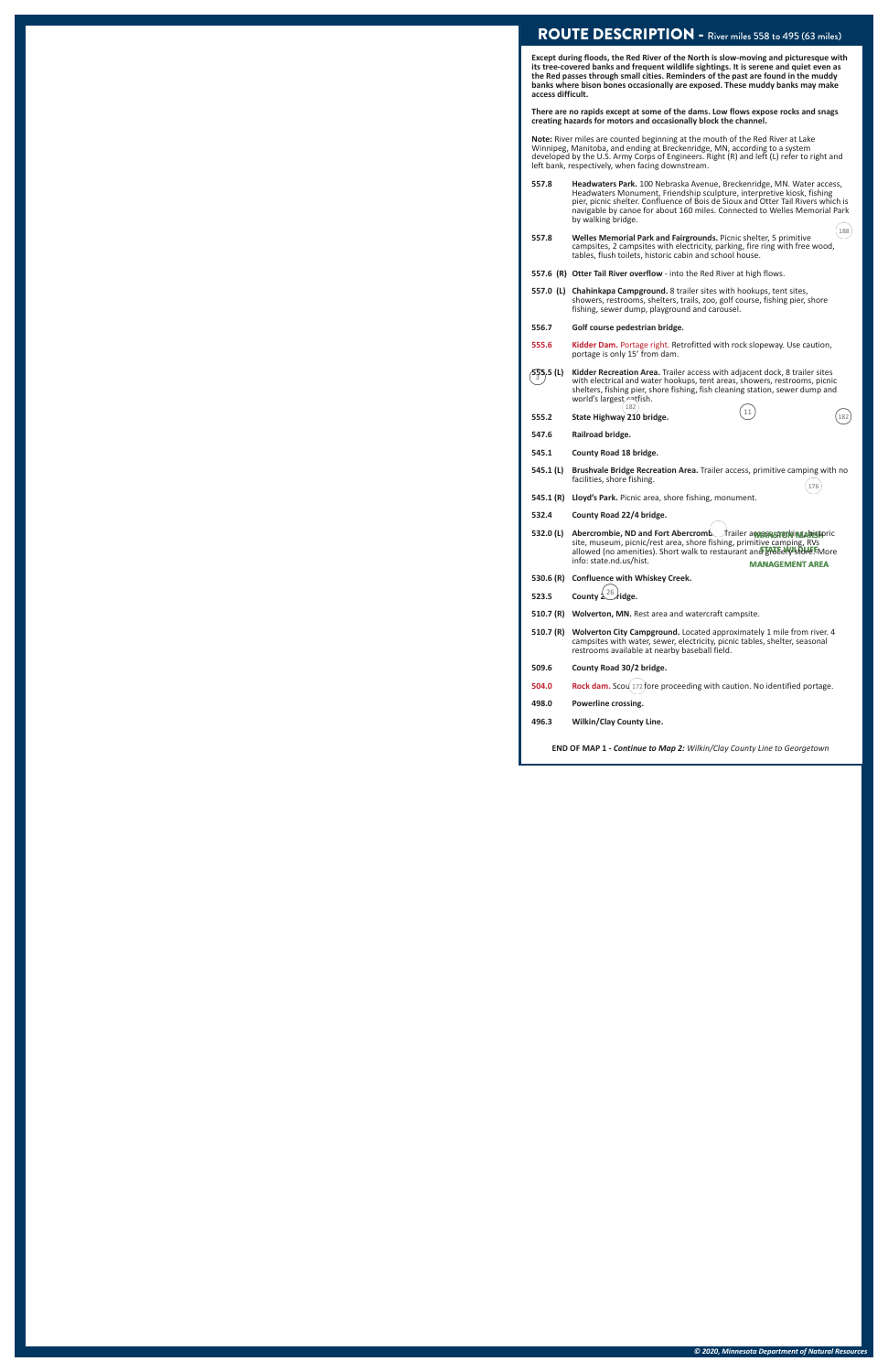*© 2020, Minnesota Department of Natural Resources*

#### ROUTE DESCRIPTION - River miles 558 to 495 (63 miles)

**Except during floods, the Red River of the North is slow-moving and picturesque with its tree-covered banks and frequent wildlife sightings. It is serene and quiet even as the Red passes through small cities. Reminders of the past are found in the muddy banks where bison bones occasionally are exposed. These muddy banks may make access difficult.** 

**There are no rapids except at some of the dams. Low flows expose rocks and snags creating hazards for motors and occasionally block the channel.**

**Note:** River miles are counted beginning at the mouth of the Red River at Lake Winnipeg, Manitoba, and ending at Breckenridge, MN, according to a system developed by the U.S. Army Corps of Engineers. Right (R) and left (L) refer to right and left bank, respectively, when facing downstream.

- **557.8 Headwaters Park.** 100 Nebraska Avenue, Breckenridge, MN. Water access, Headwaters Monument, Friendship sculpture, interpretive kiosk, fishing pier, picnic shelter. Confluence of Bois de Sioux and Otter Tail Rivers which is navigable by canoe for about 160 miles. Connected to Welles Memorial Park by walking bridge.
- 9:<sup>188</sup> **557.8 Welles Memorial Park and Fairgrounds.** Picnic shelter, 5 primitive campsites, 2 campsites with electricity, parking, fire ring with free wood, tables, flush toilets, historic cabin and school house.
- **557.6 (R) Otter Tail River overflow** into the Red River at high flows.
- **557.0 (L) Chahinkapa Campground.** 8 trailer sites with hookups, tent sites, showers, restrooms, shelters, trails, zoo, golf course, fishing pier, shore fishing, sewer dump, playground and carousel.
- **556.7 Golf course pedestrian bridge.**
- **555.6 Kidder Dam.** Portage right. Retrofitted with rock slopeway. Use caution, portage is only 15' from dam.
- $/5\frac{55}{3}5,5$  (L) **555.5 (L) Kidder Recreation Area.** Trailer access with adjacent dock, 8 trailer sites <sup>3</sup> with electrical and water hookups, tent areas, showers, restrooms, picnic shelters, fishing pier, shore fishing, fish cleaning station, sewer dump and
- world's largest catfish. 9:<sup>182</sup> :9<sup>11</sup> **555.2 State Highway 210 bridge.** :9<sup>182</sup>
- **547.6 Railroad bridge.**
- **545.1 County Road 18 bridge.**
- **545.1 (L) Brushvale Bridge Recreation Area.** Trailer access, primitive camping with no facilities, shore fishing.  $\frac{176}{176}$
- **545.1 (R) Lloyd's Park.** Picnic area, shore fishing, monument.
- **532.4 County Road 22/4 bridge.**
- County Noad 2274 Bruge.<br>532.0 (L) Abercrombie, ND and Fort Abercromb. Trailer and proposes of the site, museum, picnic/rest area, shore fishing, primitive camping, RVs<br>allowed (no amenities). Short walk to restaurant and p info: state.nd.us/hist.
- **530.6 (R) Confluence with Whiskey Creek.**
- **523.5** County  $\left(\frac{26}{3}\right)$  idge.
- **510.7 (R) Wolverton, MN.** Rest area and watercraft campsite.
- **510.7 (R) Wolverton City Campground.** Located approximately 1 mile from river. 4 campsites with water, sewer, electricity, picnic tables, shelter, seasonal restrooms available at nearby baseball field.
- **509.6 County Road 30/2 bridge.**
- **504.0** Rock dam. Scou 172 fore proceeding with caution. No identified portage.
- **498.0 Powerline crossing.**
- **496.3 Wilkin/Clay County Line.**

**END OF MAP 1** *- Continue to Map 2: Wilkin/Clay County Line to Georgetown*